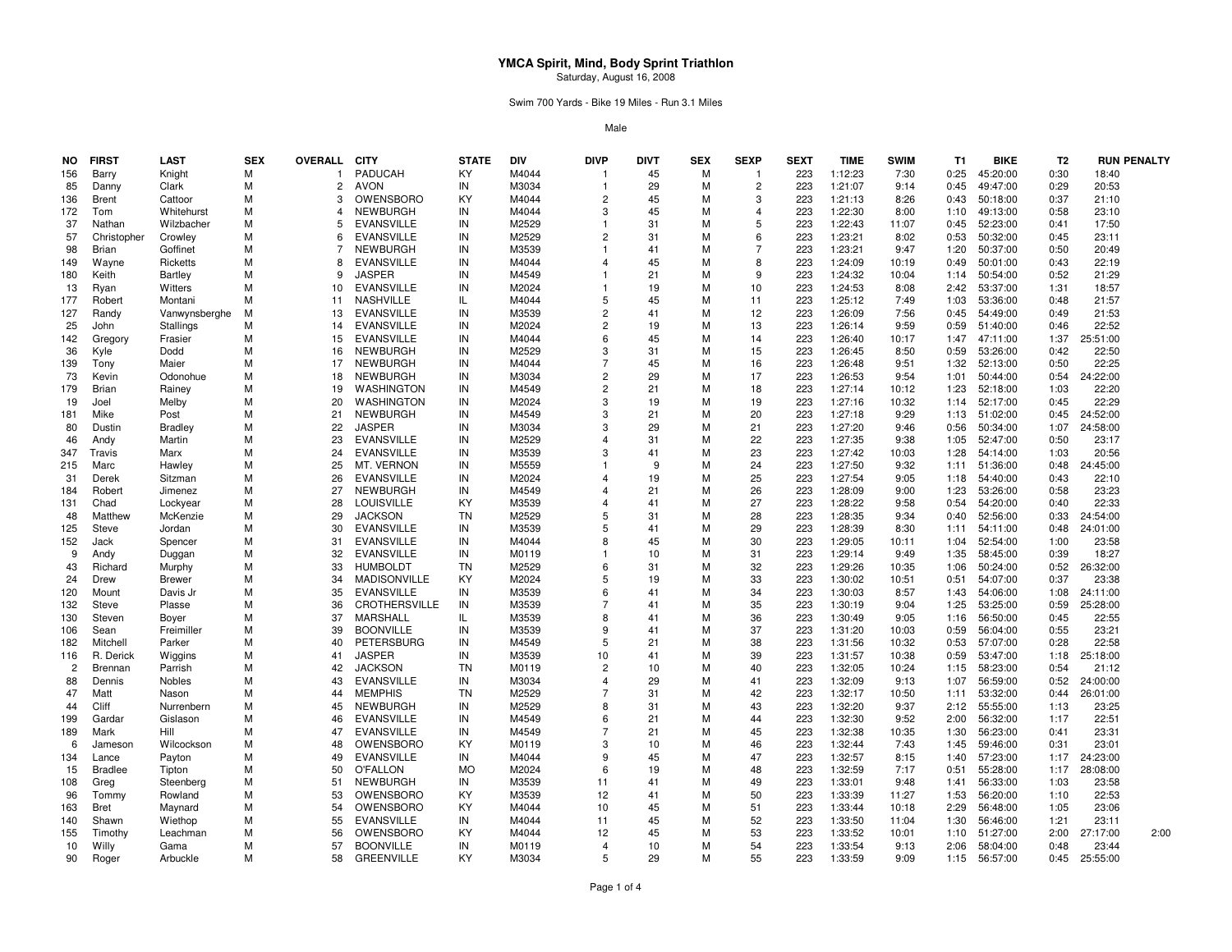Swim 700 Yards - Bike 19 Miles - Run 3.1 Miles

| NO.            | <b>FIRST</b>          | LAST                      | <b>SEX</b> | <b>OVERALL</b> | <b>CITY</b>                    | <b>STATE</b>    | DIV            | <b>DIVP</b>             | DIVT     | <b>SEX</b> | <b>SEXP</b>    | <b>SEXT</b> | <b>TIME</b>        | <b>SWIM</b>    | T1           | <b>BIKE</b>          | T <sub>2</sub> | <b>RUN PENALTY</b> |
|----------------|-----------------------|---------------------------|------------|----------------|--------------------------------|-----------------|----------------|-------------------------|----------|------------|----------------|-------------|--------------------|----------------|--------------|----------------------|----------------|--------------------|
| 156            | Barry                 | Knight                    | м          | -1             | <b>PADUCAH</b>                 | ΚY              | M4044          |                         | 45       | M          |                | 223         | 1:12:23            | 7:30           | 0:25         | 45:20:00             | 0:30           | 18:40              |
| 85             | Danny                 | Clark                     | M          | $\overline{2}$ | AVON                           | IN              | M3034          | -1                      | 29       | M          | $\overline{2}$ | 223         | 1:21:07            | 9:14           | 0:45         | 49:47:00             | 0:29           | 20:53              |
| 136            | <b>Brent</b>          | Cattoor                   | M          | 3              | OWENSBORO                      | ΚY              | M4044          | $\overline{2}$          | 45       | м          | 3              | 223         | 1:21:13            | 8:26           | 0:43         | 50:18:00             | 0:37           | 21:10              |
| 172            | Tom                   | Whitehurst                | M          | 4              | <b>NEWBURGH</b>                | IN              | M4044          | 3                       | 45       | м          | 4              | 223         | 1:22:30            | 8:00           | 1:10         | 49:13:00             | 0:58           | 23:10              |
| 37             | Nathan                | Wilzbacher                | M          |                | <b>EVANSVILLE</b>              | IN              | M2529          |                         | 31       | М          | 5              | 223         | 1:22:43            | 11:07          | 0:45         | 52:23:00             | 0:41           | 17:50              |
| 57             | Christopher           | Crowley                   | M          | 6              | <b>EVANSVILLE</b>              | IN              | M2529          | $\overline{2}$          | 31       | м          | 6              | 223         | 1:23:21            | 8:02           | 0:53         | 50:32:00             | 0:45           | 23:11              |
| 98             | <b>Brian</b>          | Goffinet                  | M          | 7              | <b>NEWBURGH</b>                | IN              | M3539          | -1                      | 41       | м          | $\overline{7}$ | 223         | 1:23:21            | 9:47           | 1:20         | 50:37:00             | 0:50           | 20:49              |
| 149            | Wayne                 | Ricketts                  | M          | 8              | <b>EVANSVILLE</b>              | IN              | M4044          | $\mathbf 4$             | 45       | M          | 8              | 223         | 1:24:09            | 10:19          | 0:49         | 50:01:00             | 0:43           | 22:19              |
| 180            | Keith                 | <b>Bartley</b>            | M          | 9              | <b>JASPER</b>                  | IN              | M4549          |                         | 21       | м          | 9              | 223         | 1:24:32            | 10:04          | 1:14         | 50:54:00             | 0:52           | 21:29              |
| 13             | Ryan                  | Witters                   | M          | 10             | <b>EVANSVILLE</b>              | IN              | M2024          | -1                      | 19       | M          | 10             | 223         | 1:24:53            | 8:08           | 2:42         | 53:37:00             | 1:31           | 18:57              |
| 177            | Robert                | Montani                   | M          | 11             | <b>NASHVILLE</b>               | IL              | M4044          | 5                       | 45       | м          | 11             | 223         | 1:25:12            | 7:49           | 1:03         | 53:36:00             | 0:48           | 21:57              |
| 127            | Randy                 | Vanwynsberghe             | M          | 13             | <b>EVANSVILLE</b>              | IN              | M3539          | $\overline{2}$          | 41       | м          | 12             | 223         | 1:26:09            | 7:56           | 0:45         | 54:49:00             | 0:49           | 21:53              |
| 25             | John                  | Stallings                 | M          | 14             | <b>EVANSVILLE</b>              | IN              | M2024          | $\overline{2}$          | 19       | M          | 13             | 223         | 1:26:14            | 9:59           | 0:59         | 51:40:00             | 0:46           | 22:52              |
| 142            | Gregory               | Frasier                   | M          | 15             | <b>EVANSVILLE</b>              | IN              | M4044          | 6                       | 45       | М          | 14             | 223         | 1:26:40            | 10:17          | 1:47         | 47:11:00             | 1:37           | 25:51:00           |
| 36             | Kyle                  | Dodd                      | M          | 16             | <b>NEWBURGH</b>                | IN              | M2529          | 3                       | 31       | M          | 15             | 223         | 1:26:45            | 8:50           | 0:59         | 53:26:00             | 0:42           | 22:50              |
| 139            | Tony                  | Maier                     | M          | 17             | NEWBURGH                       | IN              | M4044          | $\overline{7}$          | 45       | M          | 16             | 223         | 1:26:48            | 9:51           | 1:32         | 52:13:00             | 0:50           | 22:25              |
| 73             | Kevin                 | Odonohue                  | M          | 18             | <b>NEWBURGH</b>                | IN              | M3034          | $\overline{2}$          | 29       | M          | 17             | 223         | 1:26:53            | 9:54           | 1:01         | 50:44:00             | 0:54           | 24:22:00           |
| 179            | <b>Brian</b>          | Rainey                    | M          | 19             | WASHINGTON                     | IN              | M4549          | $\overline{2}$          | 21       | м          | 18             | 223         | 1:27:14            | 10:12          | 1:23         | 52:18:00             | 1:03           | 22:20              |
| 19             | Joel                  | Melby                     | M          | 20             | WASHINGTON                     | IN              | M2024          | 3                       | 19       | M          | 19             | 223         | 1:27:16            | 10:32          | 1:14         | 52:17:00             | 0:45           | 22:29              |
| 181            | Mike                  | Post                      | M          | 21             | <b>NEWBURGH</b>                | IN              | M4549          | 3                       | 21       | M          | 20             | 223         | 1:27:18            | 9:29           | 1:13         | 51:02:00             | 0:45           | 24:52:00           |
| 80             | Dustin                | <b>Bradley</b>            | M          | 22             | <b>JASPER</b>                  | IN              | M3034          | 3                       | 29       | м          | 21             | 223         | 1:27:20            | 9:46           | 0:56         | 50:34:00             | 1:07           | 24:58:00           |
| 46             | Andy                  | Martin                    | M          | 23             | <b>EVANSVILLE</b>              | IN              | M2529          | $\overline{4}$          | 31       | M          | 22             | 223         | 1:27:35            | 9:38           | 1:05         | 52:47:00             | 0:50           | 23:17              |
| 347            | Travis                | Marx                      | M          | 24             | <b>EVANSVILLE</b>              | IN              | M3539          | 3                       | 41       | М          | 23             | 223         | 1:27:42            | 10:03          | 1:28         | 54:14:00             | 1:03           | 20:56              |
| 215            | Marc                  | Hawley                    | M          | 25             | MT. VERNON                     | IN              | M5559          |                         | 9        | м          | 24             | 223         | 1:27:50            | 9:32           | 1:11         | 51:36:00             | 0:48           | 24:45:00           |
| 31             | Derek                 | Sitzman                   | M          | 26             | <b>EVANSVILLE</b>              | IN              | M2024          | $\overline{\mathbf{4}}$ | 19       | м          | 25             | 223         | 1:27:54            | 9:05           | 1:18         | 54:40:00             | 0:43           | 22:10              |
| 184            | Robert                | Jimenez                   | M          | 27             | <b>NEWBURGH</b>                | IN              | M4549          | $\Delta$                | 21       | M          | 26             | 223         | 1:28:09            | 9:00           | 1:23         | 53:26:00             | 0:58           | 23:23              |
| 131            | Chad                  | Lockyear                  | M          | 28             | <b>LOUISVILLE</b>              | ΚY              | M3539          | $\overline{\mathbf{4}}$ | 41       | м          | 27             | 223         | 1:28:22            | 9:58           | 0:54         | 54:20:00             | 0:40           | 22:33              |
| 48             | Matthew               | McKenzie                  | M          | 29             | <b>JACKSON</b>                 | <b>TN</b>       | M2529          | 5                       | 31       | M          | 28             | 223         | 1:28:35            | 9:34           | 0:40         | 52:56:00             | 0:33           | 24:54:00           |
|                |                       |                           | M          | 30             | <b>EVANSVILLE</b>              | IN              | M3539          | 5                       | 41       | M          | 29             | 223         | 1:28:39            | 8:30           | 1:11         |                      | 0:48           | 24:01:00           |
| 125<br>152     | Steve<br>Jack         | Jordan<br>Spencer         | м          | 31             | <b>EVANSVILLE</b>              | IN              | M4044          | $\mathsf{R}$            | 45       | м          | 30             | 223         | 1:29:05            | 10:11          | 1:04         | 54:11:00<br>52:54:00 | 1:00           | 23:58              |
| 9              |                       |                           | M          | 32             | <b>EVANSVILLE</b>              | IN              | M0119          |                         | 10       | M          | 31             | 223         | 1:29:14            | 9:49           | 1:35         | 58:45:00             | 0:39           | 18:27              |
| 43             | Andy<br>Richard       | Duggan                    | M          | 33             | <b>HUMBOLDT</b>                | <b>TN</b>       | M2529          | 6                       | 31       | М          | 32             | 223         | 1:29:26            |                | 1:06         |                      | 0:52           | 26:32:00           |
| 24             | Drew                  | Murphy                    | M          | 34             | <b>MADISONVILLE</b>            | ΚY              |                | 5                       | 19       | М          | 33             |             |                    | 10:35          |              | 50:24:00<br>54:07:00 |                | 23:38              |
| 120            | Mount                 | <b>Brewer</b><br>Davis Jr | M          | 35             | <b>EVANSVILLE</b>              | IN              | M2024<br>M3539 | 6                       | 41       | м          | 34             | 223<br>223  | 1:30:02<br>1:30:03 | 10:51<br>8:57  | 0:51<br>1:43 | 54:06:00             | 0:37<br>1:08   | 24:11:00           |
| 132            | Steve                 |                           | M          | 36             | <b>CROTHERSVILLE</b>           | IN              | M3539          | $\overline{7}$          | 41       | M          | 35             | 223         | 1:30:19            | 9:04           | 1:25         | 53:25:00             | 0:59           | 25:28:00           |
|                |                       | Plasse                    |            | 37             | MARSHALL                       | IL.             | M3539          | 8                       |          | м          | 36             | 223         |                    |                |              |                      |                | 22:55              |
| 130            | Steven                | Boyer                     | M          | 39             |                                |                 |                | 9                       | 41       |            |                |             | 1:30:49            | 9:05           | 1:16         | 56:50:00             | 0:45           |                    |
| 106<br>182     | Sean                  | Freimiller                | M<br>M     | 40             | <b>BOONVILLE</b><br>PETERSBURG | IN<br>IN        | M3539<br>M4549 | 5                       | 41<br>21 | M<br>м     | 37<br>38       | 223<br>223  | 1:31:20<br>1:31:56 | 10:03<br>10:32 | 0:59<br>0:53 | 56:04:00<br>57:07:00 | 0:55<br>0:28   | 23:21<br>22:58     |
|                | Mitchell<br>R. Derick | Parker                    | M          | 41             | <b>JASPER</b>                  | IN              | M3539          | 10                      |          | м          | 39             | 223         |                    | 10:38          | 0:59         | 53:47:00             |                | 25:18:00           |
| 116            |                       | Wiggins                   | M          |                |                                | <b>TN</b>       |                | $\overline{2}$          | 41<br>10 |            |                |             | 1:31:57            |                |              |                      | 1:18           |                    |
| $\overline{c}$ | Brennan               | Parrish                   | M          | 42             | <b>JACKSON</b>                 |                 | M0119          | $\overline{4}$          |          | M          | 40             | 223         | 1:32:05            | 10:24          | 1:15         | 58:23:00             | 0:54           | 21:12              |
| 88             | Dennis                | Nobles                    |            | 43             | <b>EVANSVILLE</b>              | IN<br><b>TN</b> | M3034<br>M2529 | $\overline{7}$          | 29       | М          | 41             | 223         | 1:32:09            | 9:13           | 1:07         | 56:59:00             | 0:52           | 24:00:00           |
| 47             | Matt                  | Nason                     | M          | 44             | <b>MEMPHIS</b>                 |                 |                |                         | 31       | м          | 42             | 223         | 1:32:17            | 10:50          | 1:11         | 53:32:00             | 0:44           | 26:01:00           |
| 44             | Cliff                 | Nurrenbern                | M          | 45             | NEWBURGH                       | IN              | M2529          | 8<br>6                  | 31       | м          | 43             | 223         | 1:32:20            | 9:37           | 2:12         | 55:55:00             | 1:13           | 23:25              |
| 199            | Gardar                | Gislason                  | M          | 46             | <b>EVANSVILLE</b>              | IN              | M4549          |                         | 21       | М          | 44             | 223         | 1:32:30            | 9:52           | 2:00         | 56:32:00             | 1:17           | 22:51              |
| 189            | Mark                  | Hill                      | M          | 47             | <b>EVANSVILLE</b>              | IN              | M4549          | $\overline{7}$          | 21       | м          | 45             | 223         | 1:32:38            | 10:35          | 1:30         | 56:23:00             | 0:41           | 23:31              |
| 6              | Jameson               | Wilcockson                | M          | 48             | OWENSBORO                      | ΚY              | M0119          | 3                       | 10       | М          | 46             | 223         | 1:32:44            | 7:43           | 1:45         | 59:46:00             | 0:31           | 23:01              |
| 134            | Lance                 | Payton                    | M          | 49             | <b>EVANSVILLE</b>              | IN              | M4044          | 9                       | 45       | м          | 47             | 223         | 1:32:57            | 8:15           | 1:40         | 57:23:00             | 1:17           | 24:23:00           |
| 15             | <b>Bradlee</b>        | Tipton                    | M          | 50             | <b>O'FALLON</b>                | <b>MO</b>       | M2024          | 6                       | 19       | м          | 48             | 223         | 1:32:59            | 7:17           | 0:51         | 55:28:00             | 1:17           | 28:08:00           |
| 108            | Greg                  | Steenberg                 | M          | 51             | <b>NEWBURGH</b>                | IN              | M3539          | 11                      | 41       | M          | 49             | 223         | 1:33:01            | 9:48           | 1:41         | 56:33:00             | 1:03           | 23:58              |
| 96             | Tommy                 | Rowland                   | M          | 53             | OWENSBORO                      | KY              | M3539          | 12                      | 41       | М          | 50             | 223         | 1:33:39            | 11:27          | 1:53         | 56:20:00             | 1:10           | 22:53              |
| 163            | Bret                  | Maynard                   | M          | 54             | OWENSBORO                      | ΚY              | M4044          | 10                      | 45       | м          | 51             | 223         | 1:33:44            | 10:18          | 2:29         | 56:48:00             | 1:05           | 23:06              |
| 140            | Shawn                 | Wiethop                   | M          | 55             | <b>EVANSVILLE</b>              | IN              | M4044          | 11                      | 45       | м          | 52             | 223         | 1:33:50            | 11:04          | 1:30         | 56:46:00             | 1:21           | 23:11              |
| 155            | Timothy               | Leachman                  | M          | 56             | OWENSBORO                      | ΚY              | M4044          | 12                      | 45       | M          | 53             | 223         | 1:33:52            | 10:01          | 1:10         | 51:27:00             | 2:00           | 27:17:00<br>2:00   |
| 10             | Willy                 | Gama                      | м          | 57             | <b>BOONVILLE</b>               | IN              | M0119          | $\overline{\mathbf{4}}$ | 10       | м          | 54             | 223         | 1:33:54            | 9:13           | 2:06         | 58:04:00             | 0:48           | 23:44              |
| 90             | Roger                 | Arbuckle                  | M          | 58             | <b>GREENVILLE</b>              | KY              | M3034          | 5                       | 29       | м          | 55             | 223         | 1:33:59            | 9:09           | 1:15         | 56:57:00             | 0:45           | 25:55:00           |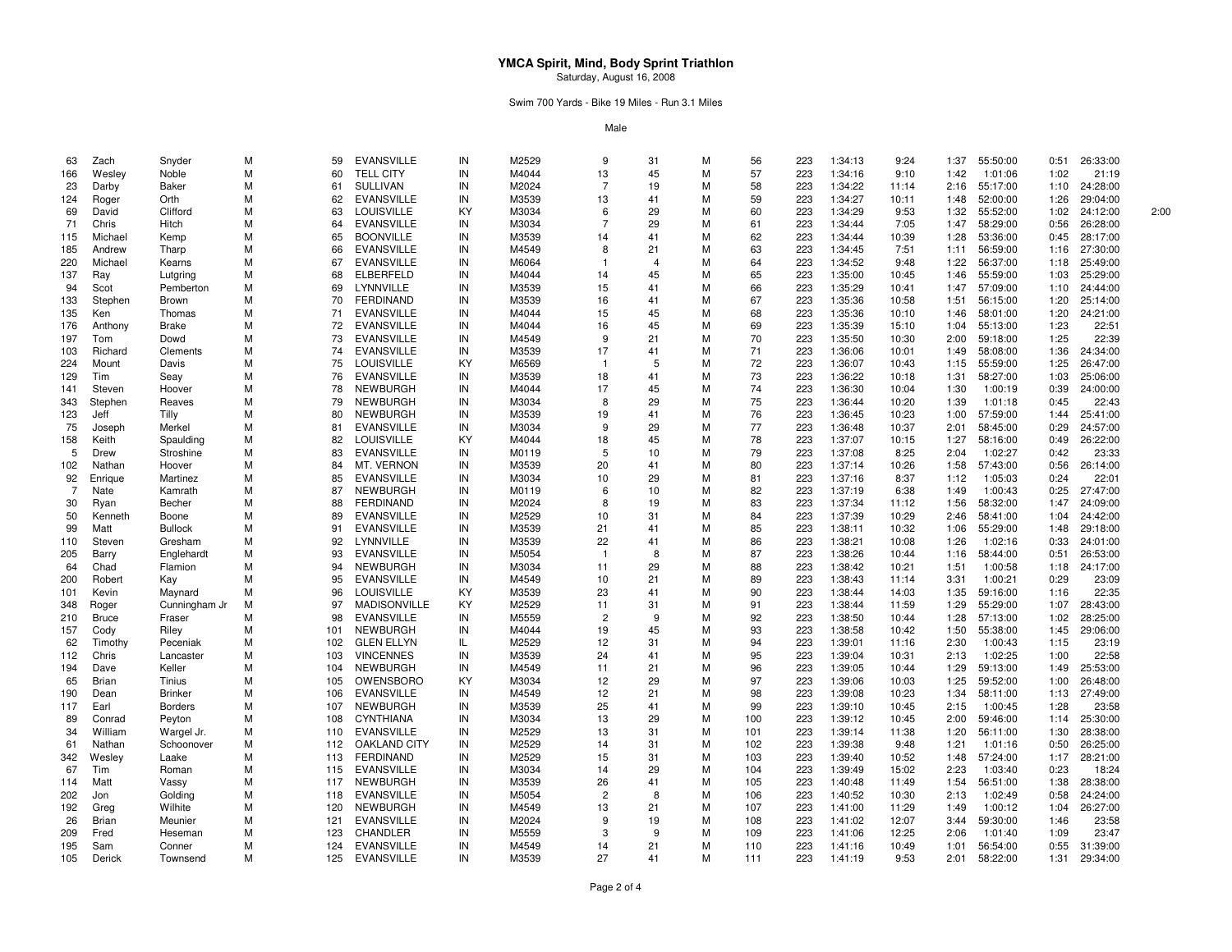Swim 700 Yards - Bike 19 Miles - Run 3.1 Miles

| 63             | Zach         | Snyder         | м | 59  | <b>EVANSVILLE</b>   | IN | M2529 | 9              | 31 | M | 56  | 223 | 1:34:13 | 9:24  | 1:37 | 55:50:00 | 0:51 | 26:33:00 |      |
|----------------|--------------|----------------|---|-----|---------------------|----|-------|----------------|----|---|-----|-----|---------|-------|------|----------|------|----------|------|
| 166            | Wesley       | Noble          | M | 60  | <b>TELL CITY</b>    | IN | M4044 | 13             | 45 | M | 57  | 223 | 1:34:16 | 9:10  | 1:42 | 1:01:06  | 1:02 | 21:19    |      |
| 23             | Darby        | Baker          | м | 61  | <b>SULLIVAN</b>     | IN | M2024 | 7              | 19 | M | 58  | 223 | 1:34:22 | 11:14 | 2:16 | 55:17:00 | 1:10 | 24:28:00 |      |
| 124            | Roger        | Orth           | м | 62  | <b>EVANSVILLE</b>   | IN | M3539 | 13             | 41 | M | 59  | 223 | 1:34:27 | 10:11 | 1:48 | 52:00:00 | 1:26 | 29:04:00 |      |
| 69             | David        | Clifford       | м | 63  | LOUISVILLE          | KY | M3034 | 6              | 29 | M | 60  | 223 | 1:34:29 | 9:53  | 1:32 | 55:52:00 | 1:02 | 24:12:00 | 2:00 |
| 71             | Chris        | Hitch          | М | 64  | <b>EVANSVILLE</b>   | IN | M3034 | 7              | 29 | М | 61  | 223 | 1:34:44 | 7:05  | 1:47 | 58:29:00 | 0:56 | 26:28:00 |      |
| 115            | Michael      | Kemp           | м | 65  | <b>BOONVILLE</b>    | IN | M3539 | 14             | 41 | M | 62  | 223 | 1:34:44 | 10:39 | 1:28 | 53:36:00 | 0:45 | 28:17:00 |      |
| 185            | Andrew       | Tharp          | м | 66  | <b>EVANSVILLE</b>   | IN | M4549 | 8              | 21 | M | 63  | 223 | 1:34:45 | 7:51  | 1:11 | 56:59:00 | 1:16 | 27:30:00 |      |
|                |              |                |   |     |                     |    |       |                |    |   |     |     |         |       |      |          |      |          |      |
| 220            | Michael      | Kearns         | м | 67  | <b>EVANSVILLE</b>   | IN | M6064 |                |    | M | 64  | 223 | 1:34:52 | 9:48  | 1:22 | 56:37:00 | 1:18 | 25:49:00 |      |
| 137            | Ray          | Lutgring       | м | 68  | <b>ELBERFELD</b>    | IN | M4044 | 14             | 45 | М | 65  | 223 | 1:35:00 | 10:45 | 1:46 | 55:59:00 | 1:03 | 25:29:00 |      |
| 94             | Scot         | Pemberton      | м | 69  | LYNNVILLE           | IN | M3539 | 15             | 41 | M | 66  | 223 | 1:35:29 | 10:41 | 1:47 | 57:09:00 | 1:10 | 24:44:00 |      |
| 133            | Stephen      | <b>Brown</b>   | м | 70  | <b>FERDINAND</b>    | IN | M3539 | 16             | 41 | M | 67  | 223 | 1:35:36 | 10:58 | 1:51 | 56:15:00 | 1:20 | 25:14:00 |      |
| 135            | Ken          | Thomas         | м | 71  | <b>EVANSVILLE</b>   | IN | M4044 | 15             | 45 | M | 68  | 223 | 1:35:36 | 10:10 | 1:46 | 58:01:00 | 1:20 | 24:21:00 |      |
| 176            | Anthony      | Brake          | м | 72  | <b>EVANSVILLE</b>   | IN | M4044 | 16             | 45 | M | 69  | 223 | 1:35:39 | 15:10 | 1:04 | 55:13:00 | 1:23 | 22:51    |      |
| 197            | Tom          | Dowd           | М | 73  | <b>EVANSVILLE</b>   | IN | M4549 | 9              | 21 | M | 70  | 223 | 1:35:50 | 10:30 | 2:00 | 59:18:00 | 1:25 | 22:39    |      |
| 103            | Richard      | Clements       | м | 74  | <b>EVANSVILLE</b>   | IN | M3539 | 17             | 41 | М | 71  | 223 | 1:36:06 | 10:01 | 1:49 | 58:08:00 | 1:36 | 24:34:00 |      |
| 224            | Mount        | Davis          | м | 75  | <b>LOUISVILLE</b>   | KY | M6569 | -1             | 5  | M | 72  | 223 | 1:36:07 | 10:43 | 1:15 | 55:59:00 | 1:25 | 26:47:00 |      |
| 129            | Tim          | Seav           | М | 76  | <b>EVANSVILLE</b>   | IN | M3539 | 18             | 41 | M | 73  | 223 | 1:36:22 | 10:18 | 1:31 | 58:27:00 | 1:03 | 25:06:00 |      |
| 141            | Steven       | Hoover         | м | 78  | NEWBURGH            | IN | M4044 | 17             | 45 | M | 74  | 223 | 1:36:30 | 10:04 | 1:30 | 1:00:19  | 0:39 | 24:00:00 |      |
| 343            | Stephen      | Reaves         | м | 79  | NEWBURGH            | IN | M3034 | 8              | 29 | M | 75  | 223 | 1:36:44 | 10:20 | 1:39 | 1:01:18  | 0:45 | 22:43    |      |
| 123            | Jeff         | Tilly          | М | 80  | NEWBURGH            | IN | M3539 | 19             | 41 | M | 76  | 223 | 1:36:45 | 10:23 | 1:00 | 57:59:00 | 1:44 | 25:41:00 |      |
| 75             | Joseph       | Merkel         | м | 81  | <b>EVANSVILLE</b>   | IN | M3034 | 9              | 29 | М | 77  | 223 | 1:36:48 | 10:37 | 2:01 | 58:45:00 | 0:29 | 24:57:00 |      |
| 158            | Keith        | Spaulding      | M | 82  | LOUISVILLE          | KY | M4044 | 18             | 45 | M | 78  | 223 | 1:37:07 | 10:15 | 1:27 | 58:16:00 | 0:49 | 26:22:00 |      |
| 5              | Drew         | Stroshine      | м | 83  | <b>EVANSVILLE</b>   | IN | M0119 | 5              | 10 | M | 79  | 223 | 1:37:08 | 8:25  | 2:04 | 1:02:27  | 0:42 | 23:33    |      |
| 102            | Nathan       | Hoover         | м | 84  | MT. VERNON          | IN | M3539 | 20             | 41 | M | 80  | 223 | 1:37:14 | 10:26 | 1:58 | 57:43:00 | 0:56 | 26:14:00 |      |
| 92             | Enrique      | Martinez       | м | 85  | <b>EVANSVILLE</b>   | IN | M3034 | 10             | 29 | M | 81  | 223 | 1:37:16 | 8:37  | 1:12 | 1:05:03  | 0:24 | 22:01    |      |
| $\overline{7}$ | Nate         | Kamrath        | м | 87  | <b>NEWBURGH</b>     | IN | M0119 | 6              | 10 | M | 82  | 223 | 1:37:19 | 6:38  | 1:49 | 1:00:43  | 0:25 | 27:47:00 |      |
|                |              |                | м |     | <b>FERDINAND</b>    |    | M2024 | 8              | 19 | M | 83  | 223 | 1:37:34 |       |      | 58:32:00 |      | 24:09:00 |      |
| 30             | Ryan         | Becher         |   | 88  |                     | IN |       |                |    |   |     |     |         | 11:12 | 1:56 |          | 1:47 |          |      |
| 50             | Kenneth      | Boone          | м | 89  | <b>EVANSVILLE</b>   | IN | M2529 | 10             | 31 | M | 84  | 223 | 1:37:39 | 10:29 | 2:46 | 58:41:00 | 1:04 | 24:42:00 |      |
| 99             | Matt         | <b>Bullock</b> | м | 91  | <b>EVANSVILLE</b>   | IN | M3539 | 21             | 41 | M | 85  | 223 | 1:38:11 | 10:32 | 1:06 | 55:29:00 | 1:48 | 29:18:00 |      |
| 110            | Steven       | Gresham        | м | 92  | LYNNVILLE           | IN | M3539 | 22             | 41 | M | 86  | 223 | 1:38:21 | 10:08 | 1:26 | 1:02:16  | 0:33 | 24:01:00 |      |
| 205            | Barry        | Englehardt     | м | 93  | <b>EVANSVILLE</b>   | IN | M5054 | -1             | 8  | M | 87  | 223 | 1:38:26 | 10:44 | 1:16 | 58:44:00 | 0:51 | 26:53:00 |      |
| 64             | Chad         | Flamion        | м | 94  | <b>NEWBURGH</b>     | IN | M3034 | 11             | 29 | M | 88  | 223 | 1:38:42 | 10:21 | 1:51 | 1:00:58  | 1:18 | 24:17:00 |      |
| 200            | Robert       | Kay            | м | 95  | <b>EVANSVILLE</b>   | IN | M4549 | 10             | 21 | M | 89  | 223 | 1:38:43 | 11:14 | 3:31 | 1:00:21  | 0:29 | 23:09    |      |
| 101            | Kevin        | Maynard        | м | 96  | LOUISVILLE          | KY | M3539 | 23             | 41 | M | 90  | 223 | 1:38:44 | 14:03 | 1:35 | 59:16:00 | 1:16 | 22:35    |      |
| 348            | Roger        | Cunningham Jr  | M | 97  | <b>MADISONVILLE</b> | KY | M2529 | 11             | 31 | M | 91  | 223 | 1:38:44 | 11:59 | 1:29 | 55:29:00 | 1:07 | 28:43:00 |      |
| 210            | <b>Bruce</b> | Fraser         | м | 98  | <b>EVANSVILLE</b>   | IN | M5559 | $\overline{2}$ | 9  | M | 92  | 223 | 1:38:50 | 10:44 | 1:28 | 57:13:00 | 1:02 | 28:25:00 |      |
| 157            | Cody         | Riley          | м | 101 | <b>NEWBURGH</b>     | IN | M4044 | 19             | 45 | M | 93  | 223 | 1:38:58 | 10:42 | 1:50 | 55:38:00 | 1:45 | 29:06:00 |      |
| 62             | Timothy      | Peceniak       | м | 102 | <b>GLEN ELLYN</b>   | IL | M2529 | 12             | 31 | M | 94  | 223 | 1:39:01 | 11:16 | 2:30 | 1:00:43  | 1:15 | 23:19    |      |
| 112            | Chris        | Lancaster      | м | 103 | <b>VINCENNES</b>    | IN | M3539 | 24             | 41 | M | 95  | 223 | 1:39:04 | 10:31 | 2:13 | 1:02:25  | 1:00 | 22:58    |      |
| 194            | Dave         | Keller         | м | 104 | NEWBURGH            | IN | M4549 | 11             | 21 | M | 96  | 223 | 1:39:05 | 10:44 | 1:29 | 59:13:00 | 1:49 | 25:53:00 |      |
| 65             | Brian        | Tinius         | м | 105 | OWENSBORO           | KY | M3034 | 12             | 29 | M | 97  | 223 | 1:39:06 | 10:03 | 1:25 | 59:52:00 | 1:00 | 26:48:00 |      |
| 190            | Dean         | <b>Brinker</b> | м | 106 | <b>EVANSVILLE</b>   | IN | M4549 | 12             | 21 | M | 98  | 223 | 1:39:08 | 10:23 | 1:34 | 58:11:00 | 1:13 | 27:49:00 |      |
| 117            | Earl         | <b>Borders</b> | м | 107 | <b>NEWBURGH</b>     | IN | M3539 | 25             | 41 | M | 99  | 223 | 1:39:10 | 10:45 | 2:15 | 1:00:45  | 1:28 | 23:58    |      |
| 89             | Conrad       | Peyton         | м | 108 | <b>CYNTHIANA</b>    | IN | M3034 | 13             | 29 | M | 100 | 223 | 1:39:12 | 10:45 | 2:00 | 59:46:00 | 1:14 | 25:30:00 |      |
| 34             | William      | Wargel Jr.     | м | 110 | <b>EVANSVILLE</b>   | IN | M2529 | 13             | 31 | M | 101 | 223 | 1:39:14 | 11:38 | 1:20 | 56:11:00 | 1:30 | 28:38:00 |      |
|                |              | Schoonover     | м | 112 | <b>OAKLAND CITY</b> | IN | M2529 | 14             | 31 | M | 102 | 223 | 1:39:38 | 9:48  | 1:21 | 1:01:16  | 0:50 | 26:25:00 |      |
| 61             | Nathan       |                |   |     |                     |    |       |                |    |   |     |     |         |       |      |          |      |          |      |
| 342            | Wesley       | Laake          | м | 113 | <b>FERDINAND</b>    | IN | M2529 | 15             | 31 | M | 103 | 223 | 1:39:40 | 10:52 | 1:48 | 57:24:00 | 1:17 | 28:21:00 |      |
| 67             | Tim          | Roman          | м | 115 | <b>EVANSVILLE</b>   | IN | M3034 | 14             | 29 | M | 104 | 223 | 1:39:49 | 15:02 | 2:23 | 1:03:40  | 0:23 | 18:24    |      |
| 114            | Matt         | Vassy          | м | 117 | NEWBURGH            | IN | M3539 | 26             | 41 | M | 105 | 223 | 1:40:48 | 11:49 | 1:54 | 56:51:00 | 1:38 | 28:38:00 |      |
| 202            | Jon          | Golding        | м | 118 | <b>EVANSVILLE</b>   | IN | M5054 | $\overline{2}$ | 8  | M | 106 | 223 | 1:40:52 | 10:30 | 2:13 | 1:02:49  | 0:58 | 24:24:00 |      |
| 192            | Greg         | Wilhite        | м | 120 | <b>NEWBURGH</b>     | IN | M4549 | 13             | 21 | M | 107 | 223 | 1:41:00 | 11:29 | 1:49 | 1:00:12  | 1:04 | 26:27:00 |      |
| 26             | Brian        | Meunier        | м | 121 | <b>EVANSVILLE</b>   | IN | M2024 | 9              | 19 | M | 108 | 223 | 1:41:02 | 12:07 | 3:44 | 59:30:00 | 1:46 | 23:58    |      |
| 209            | Fred         | Heseman        | м | 123 | <b>CHANDLER</b>     | IN | M5559 | 3              | 9  | М | 109 | 223 | 1:41:06 | 12:25 | 2:06 | 1:01:40  | 1:09 | 23:47    |      |
| 195            | Sam          | Conner         | м | 124 | <b>EVANSVILLE</b>   | IN | M4549 | 14             | 21 | M | 110 | 223 | 1:41:16 | 10:49 | 1:01 | 56:54:00 | 0:55 | 31:39:00 |      |
| 105            | Derick       | Townsend       | м | 125 | <b>EVANSVILLE</b>   | IN | M3539 | 27             | 41 | M | 111 | 223 | 1:41:19 | 9:53  | 2:01 | 58:22:00 | 1:31 | 29:34:00 |      |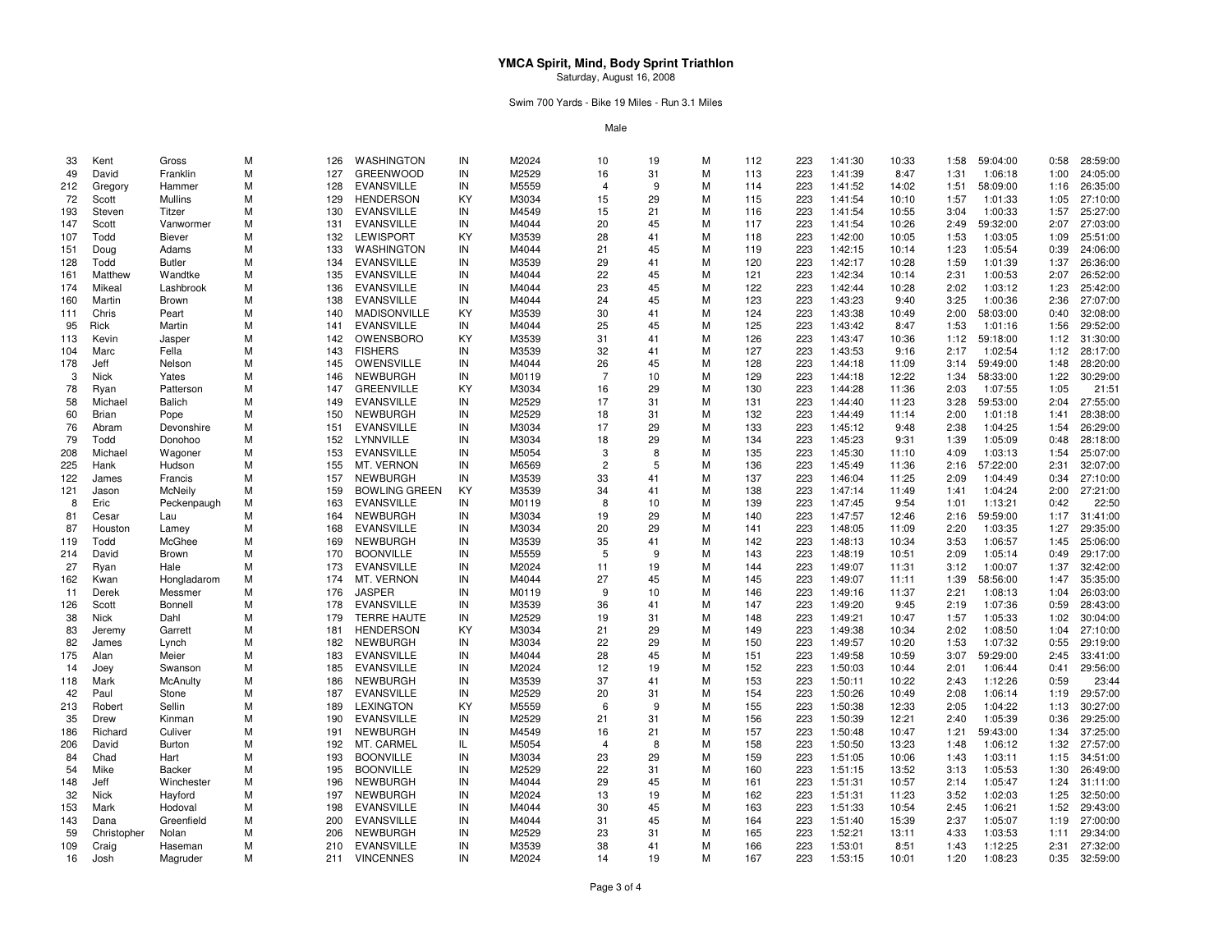Swim 700 Yards - Bike 19 Miles - Run 3.1 Miles

| 33  | Kent        | Gross         | М | 126 | WASHINGTON           | IN | M2024 | 10                      | 19 | M | 112 | 223 | 1:41:30 | 10:33 | 1:58 | 59:04:00 | 0:58 | 28:59:00 |
|-----|-------------|---------------|---|-----|----------------------|----|-------|-------------------------|----|---|-----|-----|---------|-------|------|----------|------|----------|
| 49  | David       | Franklin      | М | 127 | <b>GREENWOOD</b>     | IN | M2529 | 16                      | 31 | M | 113 | 223 | 1:41:39 | 8:47  | 1:31 | 1:06:18  | 1:00 | 24:05:00 |
| 212 | Gregory     | Hammer        | M | 128 | <b>EVANSVILLE</b>    | IN | M5559 | $\overline{\mathbf{A}}$ | 9  | M | 114 | 223 | 1:41:52 | 14:02 | 1:51 | 58:09:00 | 1:16 | 26:35:00 |
| 72  | Scott       | Mullins       | М | 129 | <b>HENDERSON</b>     | KY | M3034 | 15                      | 29 | М | 115 | 223 | 1:41:54 | 10:10 | 1:57 | 1:01:33  | 1:05 | 27:10:00 |
| 193 | Steven      | Titzer        | M | 130 | <b>EVANSVILLE</b>    | IN | M4549 | 15                      | 21 | M | 116 | 223 | 1:41:54 | 10:55 | 3:04 | 1:00:33  | 1:57 | 25:27:00 |
| 147 | Scott       | Vanwormer     | М | 131 | <b>EVANSVILLE</b>    | IN | M4044 | 20                      | 45 | М | 117 | 223 | 1:41:54 | 10:26 | 2:49 | 59:32:00 | 2:07 | 27:03:00 |
| 107 | Todd        | <b>Biever</b> | М | 132 | <b>LEWISPORT</b>     | KY | M3539 | 28                      | 41 | M | 118 | 223 | 1:42:00 | 10:05 | 1:53 | 1:03:05  | 1:09 | 25:51:00 |
| 151 | Doug        | Adams         | M | 133 | WASHINGTON           | IN | M4044 | 21                      | 45 | M | 119 | 223 | 1:42:15 | 10:14 | 1:23 | 1:05:54  | 0:39 | 24:06:00 |
|     |             |               |   |     |                      |    |       |                         |    |   |     |     |         |       |      |          |      |          |
| 128 | Todd        | <b>Butler</b> | М | 134 | <b>EVANSVILLE</b>    | IN | M3539 | 29                      | 41 | M | 120 | 223 | 1:42:17 | 10:28 | 1:59 | 1:01:39  | 1:37 | 26:36:00 |
| 161 | Matthew     | Wandtke       | М | 135 | <b>EVANSVILLE</b>    | IN | M4044 | 22                      | 45 | М | 121 | 223 | 1:42:34 | 10:14 | 2:31 | 1:00:53  | 2:07 | 26:52:00 |
| 174 | Mikeal      | Lashbrook     | М | 136 | <b>EVANSVILLE</b>    | IN | M4044 | 23                      | 45 | M | 122 | 223 | 1:42:44 | 10:28 | 2:02 | 1:03:12  | 1:23 | 25:42:00 |
| 160 | Martin      | Brown         | М | 138 | <b>EVANSVILLE</b>    | IN | M4044 | 24                      | 45 | М | 123 | 223 | 1:43:23 | 9:40  | 3:25 | 1:00:36  | 2:36 | 27:07:00 |
| 111 | Chris       | Peart         | M | 140 | <b>MADISONVILLE</b>  | KY | M3539 | 30                      | 41 | M | 124 | 223 | 1:43:38 | 10:49 | 2:00 | 58:03:00 | 0:40 | 32:08:00 |
| 95  | Rick        | Martin        | М | 141 | <b>EVANSVILLE</b>    | IN | M4044 | 25                      | 45 | М | 125 | 223 | 1:43:42 | 8:47  | 1:53 | 1:01:16  | 1:56 | 29:52:00 |
| 113 | Kevin       | Jasper        | М | 142 | OWENSBORO            | KY | M3539 | 31                      | 41 | M | 126 | 223 | 1:43:47 | 10:36 | 1:12 | 59:18:00 | 1:12 | 31:30:00 |
| 104 | Marc        | Fella         | M | 143 | <b>FISHERS</b>       | IN | M3539 | 32                      | 41 | M | 127 | 223 | 1:43:53 | 9:16  | 2:17 | 1:02:54  | 1:12 | 28:17:00 |
| 178 | Jeff        | Nelson        | М | 145 | OWENSVILLE           | IN | M4044 | 26                      | 45 | М | 128 | 223 | 1:44:18 | 11:09 | 3:14 | 59:49:00 | 1:48 | 28:20:00 |
| 3   | Nick        | Yates         | М | 146 | <b>NEWBURGH</b>      | IN | M0119 | $\overline{7}$          | 10 | M | 129 | 223 | 1:44:18 | 12:22 | 1:34 | 58:33:00 | 1:22 | 30:29:00 |
| 78  | Ryan        | Patterson     | М | 147 | <b>GREENVILLE</b>    | KY | M3034 | 16                      | 29 | М | 130 | 223 | 1:44:28 | 11:36 | 2:03 | 1:07:55  | 1:05 | 21:51    |
| 58  | Michael     | Balich        | M | 149 | <b>EVANSVILLE</b>    | IN | M2529 | 17                      | 31 | M | 131 | 223 | 1:44:40 | 11:23 | 3:28 | 59:53:00 | 2:04 | 27:55:00 |
| 60  | Brian       | Pope          | M | 150 | <b>NEWBURGH</b>      | IN | M2529 | 18                      | 31 | М | 132 | 223 | 1:44:49 | 11:14 | 2:00 | 1:01:18  | 1:41 | 28:38:00 |
| 76  | Abram       | Devonshire    | М | 151 | <b>EVANSVILLE</b>    | IN | M3034 | 17                      | 29 | M | 133 | 223 | 1:45:12 | 9:48  | 2:38 | 1:04:25  | 1:54 | 26:29:00 |
| 79  | Todd        | Donohoo       | М | 152 | LYNNVILLE            | IN | M3034 | 18                      | 29 | М | 134 | 223 | 1:45:23 | 9:31  | 1:39 | 1:05:09  | 0:48 | 28:18:00 |
| 208 | Michael     | Wagoner       | М | 153 | <b>EVANSVILLE</b>    | IN | M5054 | 3                       | 8  | M | 135 | 223 | 1:45:30 | 11:10 | 4:09 | 1:03:13  | 1:54 | 25:07:00 |
| 225 | Hank        | Hudson        | М | 155 | MT. VERNON           | IN | M6569 | $\overline{2}$          | 5  | М | 136 | 223 | 1:45:49 | 11:36 | 2:16 | 57:22:00 | 2:31 | 32:07:00 |
| 122 | James       | Francis       | M | 157 | <b>NEWBURGH</b>      | IN | M3539 | 33                      | 41 | M | 137 | 223 | 1:46:04 | 11:25 | 2:09 | 1:04:49  | 0:34 | 27:10:00 |
|     |             |               | м | 159 |                      |    |       | 34                      | 41 | М |     |     |         |       | 1:41 |          |      |          |
| 121 | Jason       | McNeily       |   |     | <b>BOWLING GREEN</b> | KY | M3539 | 8                       |    |   | 138 | 223 | 1:47:14 | 11:49 |      | 1:04:24  | 2:00 | 27:21:00 |
| 8   | Eric        | Peckenpaugh   | M | 163 | <b>EVANSVILLE</b>    | IN | M0119 |                         | 10 | М | 139 | 223 | 1:47:45 | 9:54  | 1:01 | 1:13:21  | 0:42 | 22:50    |
| 81  | Cesar       | Lau           | М | 164 | <b>NEWBURGH</b>      | IN | M3034 | 19                      | 29 | М | 140 | 223 | 1:47:57 | 12:46 | 2:16 | 59:59:00 | 1:17 | 31:41:00 |
| 87  | Houston     | Lamey         | М | 168 | <b>EVANSVILLE</b>    | IN | M3034 | 20                      | 29 | М | 141 | 223 | 1:48:05 | 11:09 | 2:20 | 1:03:35  | 1:27 | 29:35:00 |
| 119 | Todd        | McGhee        | М | 169 | <b>NEWBURGH</b>      | IN | M3539 | 35                      | 41 | M | 142 | 223 | 1:48:13 | 10:34 | 3:53 | 1:06:57  | 1:45 | 25:06:00 |
| 214 | David       | Brown         | M | 170 | <b>BOONVILLE</b>     | IN | M5559 | 5                       | 9  | М | 143 | 223 | 1:48:19 | 10:51 | 2:09 | 1:05:14  | 0:49 | 29:17:00 |
| 27  | Ryan        | Hale          | М | 173 | <b>EVANSVILLE</b>    | IN | M2024 | 11                      | 19 | М | 144 | 223 | 1:49:07 | 11:31 | 3:12 | 1:00:07  | 1:37 | 32:42:00 |
| 162 | Kwan        | Hongladarom   | М | 174 | MT. VERNON           | IN | M4044 | 27                      | 45 | М | 145 | 223 | 1:49:07 | 11:11 | 1:39 | 58:56:00 | 1:47 | 35:35:00 |
| -11 | Derek       | Messmer       | М | 176 | <b>JASPER</b>        | IN | M0119 | 9                       | 10 | М | 146 | 223 | 1:49:16 | 11:37 | 2:21 | 1:08:13  | 1:04 | 26:03:00 |
| 126 | Scott       | Bonnell       | M | 178 | <b>EVANSVILLE</b>    | IN | M3539 | 36                      | 41 | М | 147 | 223 | 1:49:20 | 9:45  | 2:19 | 1:07:36  | 0:59 | 28:43:00 |
| 38  | Nick        | Dahl          | М | 179 | <b>TERRE HAUTE</b>   | IN | M2529 | 19                      | 31 | M | 148 | 223 | 1:49:21 | 10:47 | 1:57 | 1:05:33  | 1:02 | 30:04:00 |
| 83  | Jeremy      | Garrett       | М | 181 | <b>HENDERSON</b>     | KY | M3034 | 21                      | 29 | М | 149 | 223 | 1:49:38 | 10:34 | 2:02 | 1:08:50  | 1:04 | 27:10:00 |
| 82  | James       | Lynch         | м | 182 | <b>NEWBURGH</b>      | IN | M3034 | 22                      | 29 | M | 150 | 223 | 1:49:57 | 10:20 | 1:53 | 1:07:32  | 0:55 | 29:19:00 |
| 175 | Alan        | Meier         | М | 183 | <b>EVANSVILLE</b>    | IN | M4044 | 28                      | 45 | M | 151 | 223 | 1:49:58 | 10:59 | 3:07 | 59:29:00 | 2:45 | 33:41:00 |
| 14  | Joey        | Swanson       | М | 185 | <b>EVANSVILLE</b>    | IN | M2024 | 12                      | 19 | M | 152 | 223 | 1:50:03 | 10:44 | 2:01 | 1:06:44  | 0:41 | 29:56:00 |
| 118 | Mark        | McAnulty      | М | 186 | <b>NEWBURGH</b>      | IN | M3539 | 37                      | 41 | М | 153 | 223 | 1:50:11 | 10:22 | 2:43 | 1:12:26  | 0:59 | 23:44    |
| 42  | Paul        | Stone         | М | 187 | <b>EVANSVILLE</b>    | IN | M2529 | 20                      | 31 | M | 154 | 223 | 1:50:26 | 10:49 | 2:08 | 1:06:14  | 1:19 | 29:57:00 |
| 213 | Robert      | Sellin        | M | 189 | <b>LEXINGTON</b>     | KY | M5559 | 6                       | 9  | M | 155 | 223 | 1:50:38 | 12:33 | 2:05 | 1:04:22  | 1:13 | 30:27:00 |
| 35  | Drew        | Kinman        | М | 190 | <b>EVANSVILLE</b>    | IN | M2529 | 21                      | 31 | М | 156 | 223 | 1:50:39 | 12:21 | 2:40 | 1:05:39  | 0:36 | 29:25:00 |
| 186 | Richard     | Culiver       | М | 191 | <b>NEWBURGH</b>      | IN | M4549 | 16                      | 21 | M | 157 | 223 | 1:50:48 | 10:47 | 1:21 | 59:43:00 | 1:34 | 37:25:00 |
|     |             |               |   |     |                      |    |       |                         |    |   |     |     |         |       |      |          |      |          |
| 206 | David       | <b>Burton</b> | М | 192 | MT. CARMEL           | IL | M5054 | 4                       | 8  | М | 158 | 223 | 1:50:50 | 13:23 | 1:48 | 1:06:12  | 1:32 | 27:57:00 |
| 84  | Chad        | Hart          | М | 193 | <b>BOONVILLE</b>     | IN | M3034 | 23                      | 29 | М | 159 | 223 | 1:51:05 | 10:06 | 1:43 | 1:03:11  | 1:15 | 34:51:00 |
| 54  | Mike        | Backer        | M | 195 | <b>BOONVILLE</b>     | IN | M2529 | 22                      | 31 | М | 160 | 223 | 1:51:15 | 13:52 | 3:13 | 1:05:53  | 1:30 | 26:49:00 |
| 148 | Jeff        | Winchester    | М | 196 | <b>NEWBURGH</b>      | IN | M4044 | 29                      | 45 | М | 161 | 223 | 1:51:31 | 10:57 | 2:14 | 1:05:47  | 1:24 | 31:11:00 |
| 32  | <b>Nick</b> | Hayford       | M | 197 | <b>NEWBURGH</b>      | IN | M2024 | 13                      | 19 | M | 162 | 223 | 1:51:31 | 11:23 | 3:52 | 1:02:03  | 1:25 | 32:50:00 |
| 153 | Mark        | Hodoval       | М | 198 | <b>EVANSVILLE</b>    | IN | M4044 | 30                      | 45 | M | 163 | 223 | 1:51:33 | 10:54 | 2:45 | 1:06:21  | 1:52 | 29:43:00 |
| 143 | Dana        | Greenfield    | М | 200 | <b>EVANSVILLE</b>    | IN | M4044 | 31                      | 45 | М | 164 | 223 | 1:51:40 | 15:39 | 2:37 | 1:05:07  | 1:19 | 27:00:00 |
| 59  | Christopher | Nolan         | M | 206 | <b>NEWBURGH</b>      | IN | M2529 | 23                      | 31 | М | 165 | 223 | 1:52:21 | 13:11 | 4:33 | 1:03:53  | 1:11 | 29:34:00 |
| 109 | Craig       | Haseman       | м | 210 | <b>EVANSVILLE</b>    | IN | M3539 | 38                      | 41 | М | 166 | 223 | 1:53:01 | 8:51  | 1:43 | 1:12:25  | 2:31 | 27:32:00 |
| 16  | Josh        | Magruder      | М | 211 | <b>VINCENNES</b>     | IN | M2024 | 14                      | 19 | M | 167 | 223 | 1:53:15 | 10:01 | 1:20 | 1:08:23  | 0:35 | 32:59:00 |